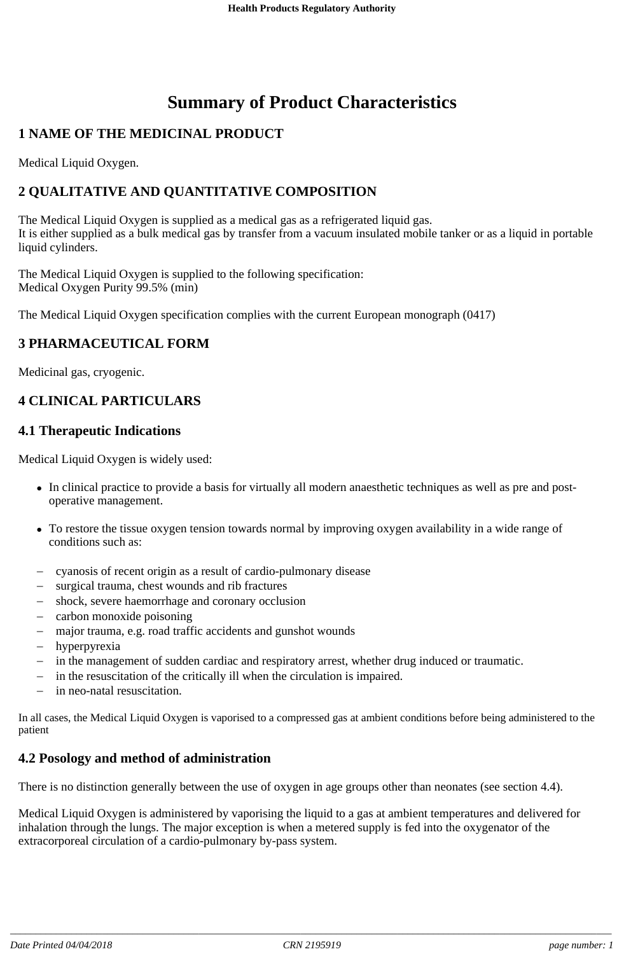# **Summary of Product Characteristics**

# **1 NAME OF THE MEDICINAL PRODUCT**

Medical Liquid Oxygen.

# **2 QUALITATIVE AND QUANTITATIVE COMPOSITION**

The Medical Liquid Oxygen is supplied as a medical gas as a refrigerated liquid gas. It is either supplied as a bulk medical gas by transfer from a vacuum insulated mobile tanker or as a liquid in portable liquid cylinders.

The Medical Liquid Oxygen is supplied to the following specification: Medical Oxygen Purity 99.5% (min)

The Medical Liquid Oxygen specification complies with the current European monograph (0417)

# **3 PHARMACEUTICAL FORM**

Medicinal gas, cryogenic.

# **4 CLINICAL PARTICULARS**

#### **4.1 Therapeutic Indications**

Medical Liquid Oxygen is widely used:

- In clinical practice to provide a basis for virtually all modern anaesthetic techniques as well as pre and postoperative management.
- To restore the tissue oxygen tension towards normal by improving oxygen availability in a wide range of conditions such as:
- cyanosis of recent origin as a result of cardio-pulmonary disease
- surgical trauma, chest wounds and rib fractures
- shock, severe haemorrhage and coronary occlusion
- carbon monoxide poisoning
- major trauma, e.g. road traffic accidents and gunshot wounds
- hyperpyrexia
- in the management of sudden cardiac and respiratory arrest, whether drug induced or traumatic.
- in the resuscitation of the critically ill when the circulation is impaired.
- in neo-natal resuscitation.

In all cases, the Medical Liquid Oxygen is vaporised to a compressed gas at ambient conditions before being administered to the patient

### **4.2 Posology and method of administration**

There is no distinction generally between the use of oxygen in age groups other than neonates (see section 4.4).

Medical Liquid Oxygen is administered by vaporising the liquid to a gas at ambient temperatures and delivered for inhalation through the lungs. The major exception is when a metered supply is fed into the oxygenator of the extracorporeal circulation of a cardio-pulmonary by-pass system.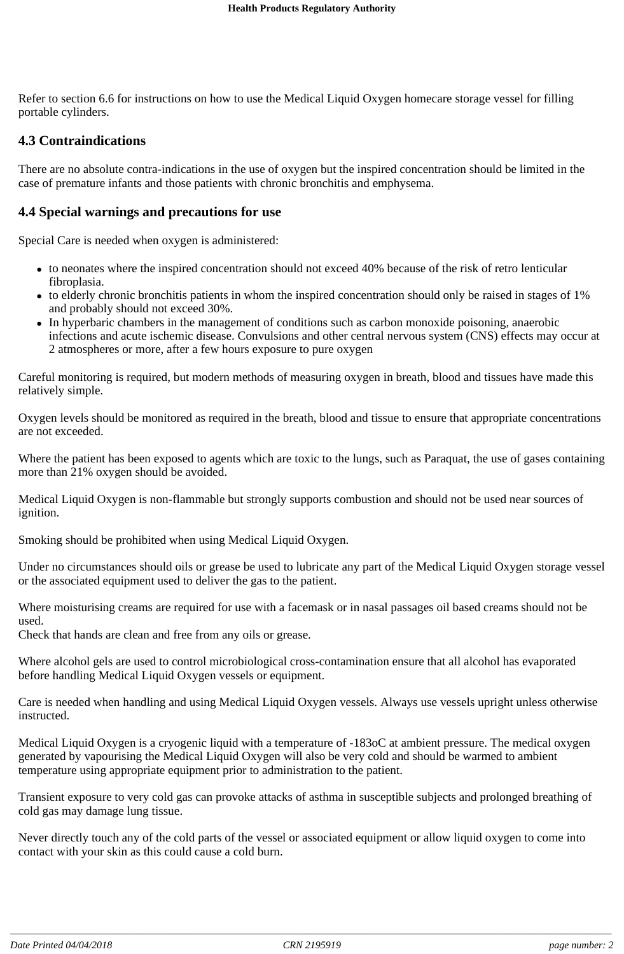Refer to section 6.6 for instructions on how to use the Medical Liquid Oxygen homecare storage vessel for filling portable cylinders.

#### **4.3 Contraindications**

There are no absolute contra-indications in the use of oxygen but the inspired concentration should be limited in the case of premature infants and those patients with chronic bronchitis and emphysema.

#### **4.4 Special warnings and precautions for use**

Special Care is needed when oxygen is administered:

- to neonates where the inspired concentration should not exceed 40% because of the risk of retro lenticular fibroplasia.
- to elderly chronic bronchitis patients in whom the inspired concentration should only be raised in stages of 1% and probably should not exceed 30%.
- In hyperbaric chambers in the management of conditions such as carbon monoxide poisoning, anaerobic infections and acute ischemic disease. Convulsions and other central nervous system (CNS) effects may occur at 2 atmospheres or more, after a few hours exposure to pure oxygen

Careful monitoring is required, but modern methods of measuring oxygen in breath, blood and tissues have made this relatively simple.

Oxygen levels should be monitored as required in the breath, blood and tissue to ensure that appropriate concentrations are not exceeded.

Where the patient has been exposed to agents which are toxic to the lungs, such as Paraquat, the use of gases containing more than 21% oxygen should be avoided.

Medical Liquid Oxygen is non-flammable but strongly supports combustion and should not be used near sources of ignition.

Smoking should be prohibited when using Medical Liquid Oxygen.

Under no circumstances should oils or grease be used to lubricate any part of the Medical Liquid Oxygen storage vessel or the associated equipment used to deliver the gas to the patient.

Where moisturising creams are required for use with a facemask or in nasal passages oil based creams should not be used.

Check that hands are clean and free from any oils or grease.

Where alcohol gels are used to control microbiological cross-contamination ensure that all alcohol has evaporated before handling Medical Liquid Oxygen vessels or equipment.

Care is needed when handling and using Medical Liquid Oxygen vessels. Always use vessels upright unless otherwise instructed.

Medical Liquid Oxygen is a cryogenic liquid with a temperature of -183oC at ambient pressure. The medical oxygen generated by vapourising the Medical Liquid Oxygen will also be very cold and should be warmed to ambient temperature using appropriate equipment prior to administration to the patient.

Transient exposure to very cold gas can provoke attacks of asthma in susceptible subjects and prolonged breathing of cold gas may damage lung tissue.

Never directly touch any of the cold parts of the vessel or associated equipment or allow liquid oxygen to come into contact with your skin as this could cause a cold burn.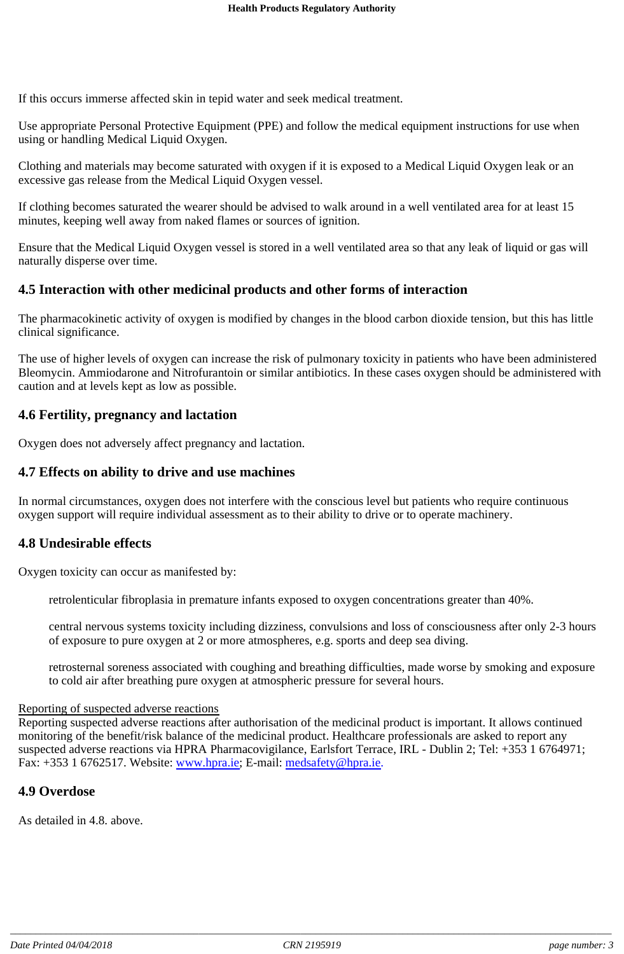If this occurs immerse affected skin in tepid water and seek medical treatment.

Use appropriate Personal Protective Equipment (PPE) and follow the medical equipment instructions for use when using or handling Medical Liquid Oxygen.

Clothing and materials may become saturated with oxygen if it is exposed to a Medical Liquid Oxygen leak or an excessive gas release from the Medical Liquid Oxygen vessel.

If clothing becomes saturated the wearer should be advised to walk around in a well ventilated area for at least 15 minutes, keeping well away from naked flames or sources of ignition.

Ensure that the Medical Liquid Oxygen vessel is stored in a well ventilated area so that any leak of liquid or gas will naturally disperse over time.

#### **4.5 Interaction with other medicinal products and other forms of interaction**

The pharmacokinetic activity of oxygen is modified by changes in the blood carbon dioxide tension, but this has little clinical significance.

The use of higher levels of oxygen can increase the risk of pulmonary toxicity in patients who have been administered Bleomycin. Ammiodarone and Nitrofurantoin or similar antibiotics. In these cases oxygen should be administered with caution and at levels kept as low as possible.

#### **4.6 Fertility, pregnancy and lactation**

Oxygen does not adversely affect pregnancy and lactation.

#### **4.7 Effects on ability to drive and use machines**

In normal circumstances, oxygen does not interfere with the conscious level but patients who require continuous oxygen support will require individual assessment as to their ability to drive or to operate machinery.

### **4.8 Undesirable effects**

Oxygen toxicity can occur as manifested by:

retrolenticular fibroplasia in premature infants exposed to oxygen concentrations greater than 40%.

central nervous systems toxicity including dizziness, convulsions and loss of consciousness after only 2-3 hours of exposure to pure oxygen at 2 or more atmospheres, e.g. sports and deep sea diving.

retrosternal soreness associated with coughing and breathing difficulties, made worse by smoking and exposure to cold air after breathing pure oxygen at atmospheric pressure for several hours.

#### Reporting of suspected adverse reactions

Reporting suspected adverse reactions after authorisation of the medicinal product is important. It allows continued monitoring of the benefit/risk balance of the medicinal product. Healthcare professionals are asked to report any suspected adverse reactions via HPRA Pharmacovigilance, Earlsfort Terrace, IRL - Dublin 2; Tel: +353 1 6764971; Fax: +353 1 6762517. Website: www.hpra.ie; E-mail: medsafety@hpra.ie.

#### **4.9 Overdose**

As detailed in 4.8. above.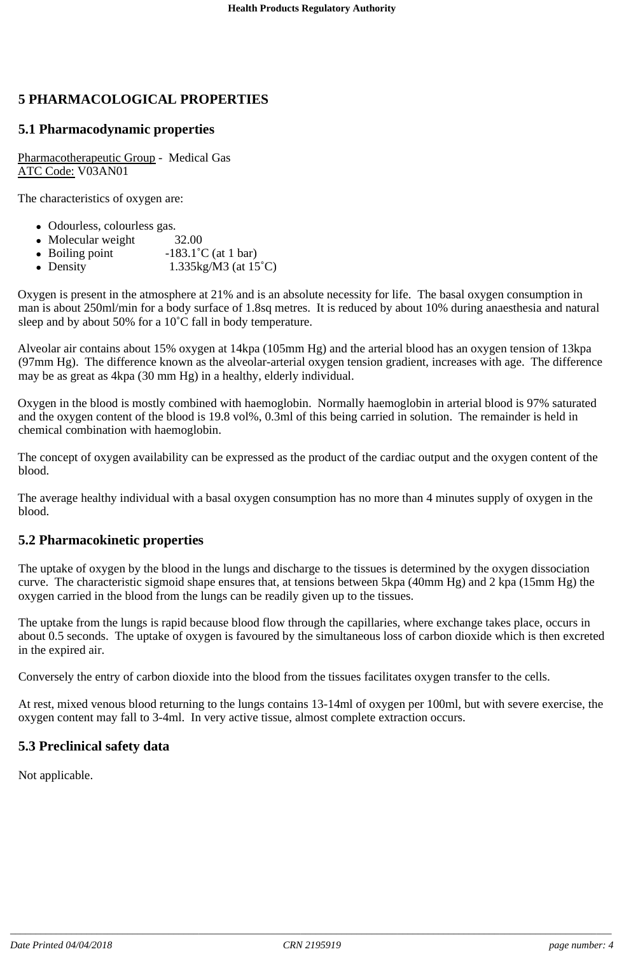# **5 PHARMACOLOGICAL PROPERTIES**

#### **5.1 Pharmacodynamic properties**

Pharmacotherapeutic Group - Medical Gas ATC Code: V03AN01

The characteristics of oxygen are:

- Odourless, colourless gas.
- Molecular weight 32.00
- Boiling point  $-183.1\degree C$  (at 1 bar)
- Density  $1.335\text{kg/M3}$  (at  $15^{\circ}\text{C}$ )

Oxygen is present in the atmosphere at 21% and is an absolute necessity for life. The basal oxygen consumption in man is about 250ml/min for a body surface of 1.8sq metres. It is reduced by about 10% during anaesthesia and natural sleep and by about 50% for a 10°C fall in body temperature.

Alveolar air contains about 15% oxygen at 14kpa (105mm Hg) and the arterial blood has an oxygen tension of 13kpa (97mm Hg). The difference known as the alveolar-arterial oxygen tension gradient, increases with age. The difference may be as great as 4kpa (30 mm Hg) in a healthy, elderly individual.

Oxygen in the blood is mostly combined with haemoglobin. Normally haemoglobin in arterial blood is 97% saturated and the oxygen content of the blood is 19.8 vol%, 0.3ml of this being carried in solution. The remainder is held in chemical combination with haemoglobin.

The concept of oxygen availability can be expressed as the product of the cardiac output and the oxygen content of the blood.

The average healthy individual with a basal oxygen consumption has no more than 4 minutes supply of oxygen in the blood.

#### **5.2 Pharmacokinetic properties**

The uptake of oxygen by the blood in the lungs and discharge to the tissues is determined by the oxygen dissociation curve. The characteristic sigmoid shape ensures that, at tensions between 5kpa (40mm Hg) and 2 kpa (15mm Hg) the oxygen carried in the blood from the lungs can be readily given up to the tissues.

The uptake from the lungs is rapid because blood flow through the capillaries, where exchange takes place, occurs in about 0.5 seconds. The uptake of oxygen is favoured by the simultaneous loss of carbon dioxide which is then excreted in the expired air.

Conversely the entry of carbon dioxide into the blood from the tissues facilitates oxygen transfer to the cells.

At rest, mixed venous blood returning to the lungs contains 13-14ml of oxygen per 100ml, but with severe exercise, the oxygen content may fall to 3-4ml. In very active tissue, almost complete extraction occurs.

#### **5.3 Preclinical safety data**

Not applicable.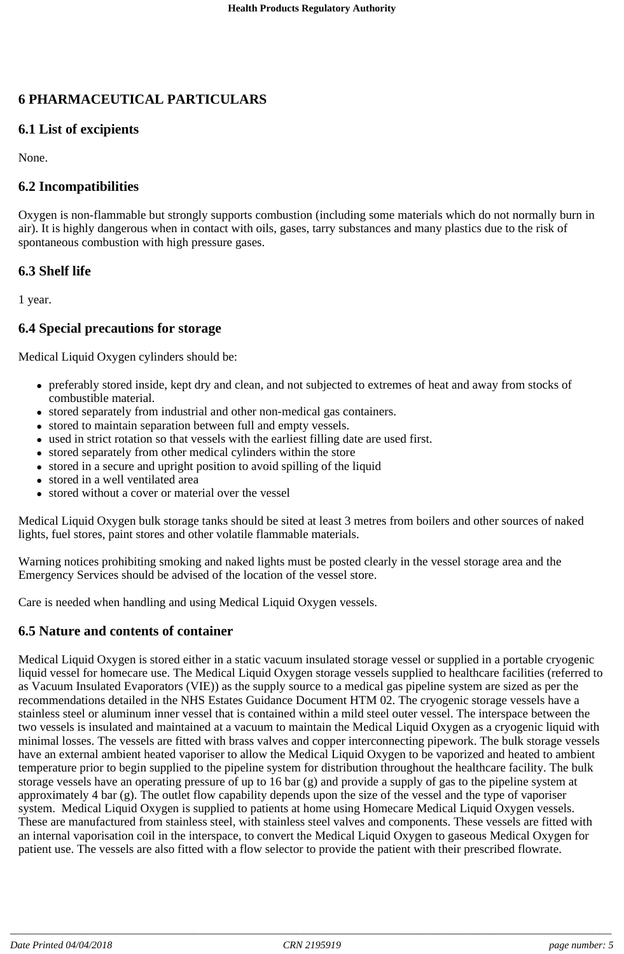# **6 PHARMACEUTICAL PARTICULARS**

# **6.1 List of excipients**

None.

# **6.2 Incompatibilities**

Oxygen is non-flammable but strongly supports combustion (including some materials which do not normally burn in air). It is highly dangerous when in contact with oils, gases, tarry substances and many plastics due to the risk of spontaneous combustion with high pressure gases.

# **6.3 Shelf life**

1 year.

### **6.4 Special precautions for storage**

Medical Liquid Oxygen cylinders should be:

- preferably stored inside, kept dry and clean, and not subjected to extremes of heat and away from stocks of combustible material.
- stored separately from industrial and other non-medical gas containers.
- stored to maintain separation between full and empty vessels.
- used in strict rotation so that vessels with the earliest filling date are used first.
- stored separately from other medical cylinders within the store
- stored in a secure and upright position to avoid spilling of the liquid
- stored in a well ventilated area
- stored without a cover or material over the vessel

Medical Liquid Oxygen bulk storage tanks should be sited at least 3 metres from boilers and other sources of naked lights, fuel stores, paint stores and other volatile flammable materials.

Warning notices prohibiting smoking and naked lights must be posted clearly in the vessel storage area and the Emergency Services should be advised of the location of the vessel store.

Care is needed when handling and using Medical Liquid Oxygen vessels.

### **6.5 Nature and contents of container**

Medical Liquid Oxygen is stored either in a static vacuum insulated storage vessel or supplied in a portable cryogenic liquid vessel for homecare use. The Medical Liquid Oxygen storage vessels supplied to healthcare facilities (referred to as Vacuum Insulated Evaporators (VIE)) as the supply source to a medical gas pipeline system are sized as per the recommendations detailed in the NHS Estates Guidance Document HTM 02. The cryogenic storage vessels have a stainless steel or aluminum inner vessel that is contained within a mild steel outer vessel. The interspace between the two vessels is insulated and maintained at a vacuum to maintain the Medical Liquid Oxygen as a cryogenic liquid with minimal losses. The vessels are fitted with brass valves and copper interconnecting pipework. The bulk storage vessels have an external ambient heated vaporiser to allow the Medical Liquid Oxygen to be vaporized and heated to ambient temperature prior to begin supplied to the pipeline system for distribution throughout the healthcare facility. The bulk storage vessels have an operating pressure of up to 16 bar (g) and provide a supply of gas to the pipeline system at approximately 4 bar (g). The outlet flow capability depends upon the size of the vessel and the type of vaporiser system. Medical Liquid Oxygen is supplied to patients at home using Homecare Medical Liquid Oxygen vessels. These are manufactured from stainless steel, with stainless steel valves and components. These vessels are fitted with an internal vaporisation coil in the interspace, to convert the Medical Liquid Oxygen to gaseous Medical Oxygen for patient use. The vessels are also fitted with a flow selector to provide the patient with their prescribed flowrate.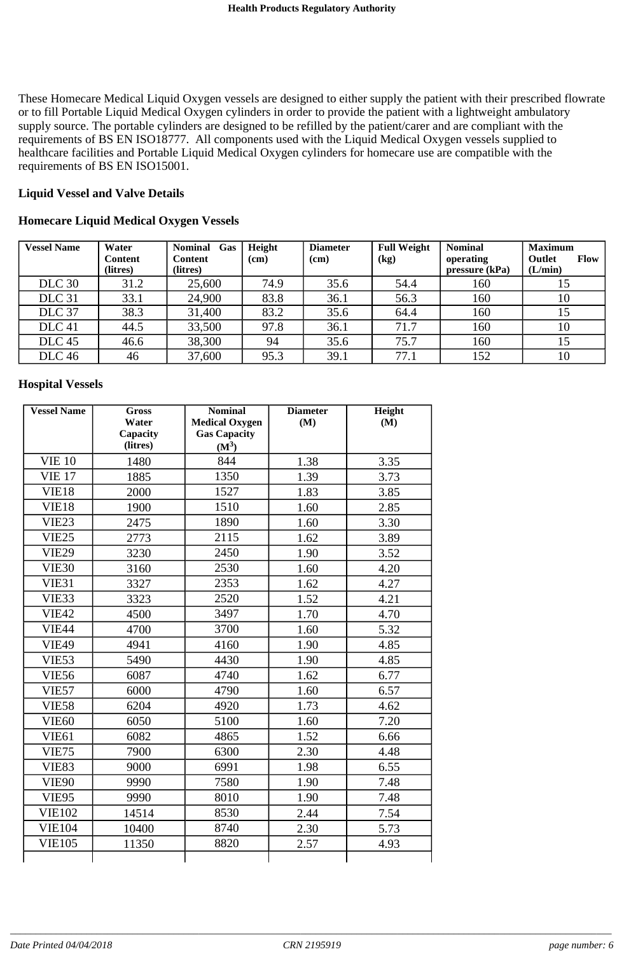These Homecare Medical Liquid Oxygen vessels are designed to either supply the patient with their prescribed flowrate or to fill Portable Liquid Medical Oxygen cylinders in order to provide the patient with a lightweight ambulatory supply source. The portable cylinders are designed to be refilled by the patient/carer and are compliant with the requirements of BS EN ISO18777. All components used with the Liquid Medical Oxygen vessels supplied to healthcare facilities and Portable Liquid Medical Oxygen cylinders for homecare use are compatible with the requirements of BS EN ISO15001.

#### **Liquid Vessel and Valve Details**

#### **Homecare Liquid Medical Oxygen Vessels**

| <b>Vessel Name</b> | Water<br>Content<br>(litres) | <b>Nominal</b><br>Gas<br><b>Content</b><br>(litres) | Height<br>(cm) | <b>Diameter</b><br>(cm) | <b>Full Weight</b><br>(kg) | <b>Nominal</b><br>operating<br>pressure (kPa) | <b>Maximum</b><br><b>Outlet</b><br><b>Flow</b><br>(L/min) |
|--------------------|------------------------------|-----------------------------------------------------|----------------|-------------------------|----------------------------|-----------------------------------------------|-----------------------------------------------------------|
| <b>DLC</b> 30      | 31.2                         | 25,600                                              | 74.9           | 35.6                    | 54.4                       | 160                                           | 15                                                        |
| <b>DLC</b> 31      | 33.1                         | 24,900                                              | 83.8           | 36.1                    | 56.3                       | 160                                           | 10                                                        |
| DLC <sub>37</sub>  | 38.3                         | 31,400                                              | 83.2           | 35.6                    | 64.4                       | 160                                           | 15                                                        |
| DLC <sub>41</sub>  | 44.5                         | 33,500                                              | 97.8           | 36.1                    | 71.7                       | 160                                           | 10                                                        |
| DLC <sub>45</sub>  | 46.6                         | 38,300                                              | 94             | 35.6                    | 75.7                       | 160                                           | 15                                                        |
| <b>DLC</b> 46      | 46                           | 37,600                                              | 95.3           | 39.1                    | 77.1                       | 152                                           | 10                                                        |

#### **Hospital Vessels**

| <b>Vessel Name</b> | <b>Gross</b><br>Water | <b>Nominal</b><br><b>Medical Oxygen</b> | <b>Diameter</b><br>(M) | Height<br>(M) |
|--------------------|-----------------------|-----------------------------------------|------------------------|---------------|
|                    | Capacity              | <b>Gas Capacity</b>                     |                        |               |
|                    | (litres)              | $(M^3)$                                 |                        |               |
| <b>VIE 10</b>      | 1480                  | 844                                     | 1.38                   | 3.35          |
| <b>VIE 17</b>      | 1885                  | 1350                                    | 1.39                   | 3.73          |
| VIE18              | 2000                  | 1527                                    | 1.83                   | 3.85          |
| VIE18              | 1900                  | 1510                                    | 1.60                   | 2.85          |
| VIE <sub>23</sub>  | 2475                  | 1890                                    | 1.60                   | 3.30          |
| <b>VIE25</b>       | 2773                  | 2115                                    | 1.62                   | 3.89          |
| <b>VIE29</b>       | 3230                  | 2450                                    | 1.90                   | 3.52          |
| <b>VIE30</b>       | 3160                  | 2530                                    | 1.60                   | 4.20          |
| VIE <sub>31</sub>  | 3327                  | 2353                                    | 1.62                   | 4.27          |
| VIE33              | 3323                  | 2520                                    | 1.52                   | 4.21          |
| <b>VIE42</b>       | 4500                  | 3497                                    | 1.70                   | 4.70          |
| <b>VIE44</b>       | 4700                  | 3700                                    | 1.60                   | 5.32          |
| <b>VIE49</b>       | 4941                  | 4160                                    | 1.90                   | 4.85          |
| VIE53              | 5490                  | 4430                                    | 1.90                   | 4.85          |
| <b>VIE56</b>       | 6087                  | 4740                                    | 1.62                   | 6.77          |
| VIE57              | 6000                  | 4790                                    | 1.60                   | 6.57          |
| <b>VIE58</b>       | 6204                  | 4920                                    | 1.73                   | 4.62          |
| VIE60              | 6050                  | 5100                                    | 1.60                   | 7.20          |
| VIE61              | 6082                  | 4865                                    | 1.52                   | 6.66          |
| <b>VIE75</b>       | 7900                  | 6300                                    | 2.30                   | 4.48          |
| VIE <sub>83</sub>  | 9000                  | 6991                                    | 1.98                   | 6.55          |
| <b>VIE90</b>       | 9990                  | 7580                                    | 1.90                   | 7.48          |
| <b>VIE95</b>       | 9990                  | 8010                                    | 1.90                   | 7.48          |
| <b>VIE102</b>      | 14514                 | 8530                                    | 2.44                   | 7.54          |
| <b>VIE104</b>      | 10400                 | 8740                                    | 2.30                   | 5.73          |
| <b>VIE105</b>      | 11350                 | 8820                                    | 2.57                   | 4.93          |
|                    |                       |                                         |                        |               |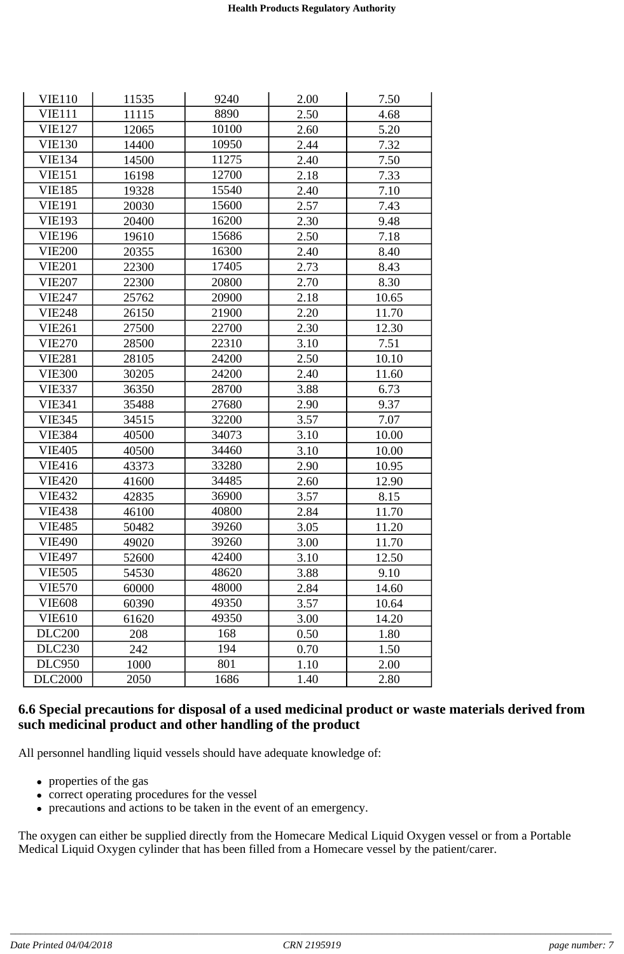| <b>VIE110</b>  | 11535 | 9240  | 2.00 | 7.50  |
|----------------|-------|-------|------|-------|
| <b>VIE111</b>  | 11115 | 8890  | 2.50 | 4.68  |
| <b>VIE127</b>  | 12065 | 10100 | 2.60 | 5.20  |
| <b>VIE130</b>  | 14400 | 10950 | 2.44 | 7.32  |
| <b>VIE134</b>  | 14500 | 11275 | 2.40 | 7.50  |
| <b>VIE151</b>  | 16198 | 12700 | 2.18 | 7.33  |
| <b>VIE185</b>  | 19328 | 15540 | 2.40 | 7.10  |
| <b>VIE191</b>  | 20030 | 15600 | 2.57 | 7.43  |
| <b>VIE193</b>  | 20400 | 16200 | 2.30 | 9.48  |
| <b>VIE196</b>  | 19610 | 15686 | 2.50 | 7.18  |
| <b>VIE200</b>  | 20355 | 16300 | 2.40 | 8.40  |
| <b>VIE201</b>  | 22300 | 17405 | 2.73 | 8.43  |
| <b>VIE207</b>  | 22300 | 20800 | 2.70 | 8.30  |
| <b>VIE247</b>  | 25762 | 20900 | 2.18 | 10.65 |
| <b>VIE248</b>  | 26150 | 21900 | 2.20 | 11.70 |
| <b>VIE261</b>  | 27500 | 22700 | 2.30 | 12.30 |
| <b>VIE270</b>  | 28500 | 22310 | 3.10 | 7.51  |
| <b>VIE281</b>  | 28105 | 24200 | 2.50 | 10.10 |
| <b>VIE300</b>  | 30205 | 24200 | 2.40 | 11.60 |
| <b>VIE337</b>  | 36350 | 28700 | 3.88 | 6.73  |
| <b>VIE341</b>  | 35488 | 27680 | 2.90 | 9.37  |
| <b>VIE345</b>  | 34515 | 32200 | 3.57 | 7.07  |
| <b>VIE384</b>  | 40500 | 34073 | 3.10 | 10.00 |
| <b>VIE405</b>  | 40500 | 34460 | 3.10 | 10.00 |
| <b>VIE416</b>  | 43373 | 33280 | 2.90 | 10.95 |
| <b>VIE420</b>  | 41600 | 34485 | 2.60 | 12.90 |
| <b>VIE432</b>  | 42835 | 36900 | 3.57 | 8.15  |
| <b>VIE438</b>  | 46100 | 40800 | 2.84 | 11.70 |
| <b>VIE485</b>  | 50482 | 39260 | 3.05 | 11.20 |
| <b>VIE490</b>  | 49020 | 39260 | 3.00 | 11.70 |
| <b>VIE497</b>  | 52600 | 42400 | 3.10 | 12.50 |
| <b>VIE505</b>  | 54530 | 48620 | 3.88 | 9.10  |
| <b>VIE570</b>  | 60000 | 48000 | 2.84 | 14.60 |
| <b>VIE608</b>  | 60390 | 49350 | 3.57 | 10.64 |
| <b>VIE610</b>  | 61620 | 49350 | 3.00 | 14.20 |
| <b>DLC200</b>  | 208   | 168   | 0.50 | 1.80  |
| <b>DLC230</b>  | 242   | 194   | 0.70 | 1.50  |
| <b>DLC950</b>  | 1000  | 801   | 1.10 | 2.00  |
| <b>DLC2000</b> | 2050  | 1686  | 1.40 | 2.80  |

### **6.6 Special precautions for disposal of a used medicinal product or waste materials derived from such medicinal product and other handling of the product**

All personnel handling liquid vessels should have adequate knowledge of:

- properties of the gas
- correct operating procedures for the vessel
- precautions and actions to be taken in the event of an emergency.

The oxygen can either be supplied directly from the Homecare Medical Liquid Oxygen vessel or from a Portable Medical Liquid Oxygen cylinder that has been filled from a Homecare vessel by the patient/carer.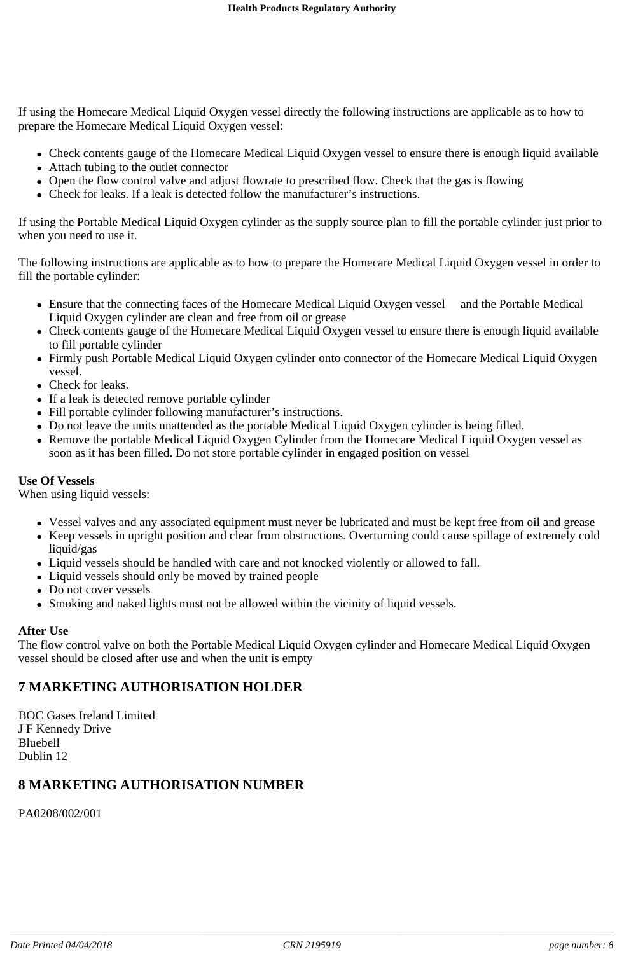If using the Homecare Medical Liquid Oxygen vessel directly the following instructions are applicable as to how to prepare the Homecare Medical Liquid Oxygen vessel:

- Check contents gauge of the Homecare Medical Liquid Oxygen vessel to ensure there is enough liquid available
- Attach tubing to the outlet connector
- Open the flow control valve and adjust flowrate to prescribed flow. Check that the gas is flowing
- Check for leaks. If a leak is detected follow the manufacturer's instructions.

If using the Portable Medical Liquid Oxygen cylinder as the supply source plan to fill the portable cylinder just prior to when you need to use it.

The following instructions are applicable as to how to prepare the Homecare Medical Liquid Oxygen vessel in order to fill the portable cylinder:

- Ensure that the connecting faces of the Homecare Medical Liquid Oxygen vessel and the Portable Medical Liquid Oxygen cylinder are clean and free from oil or grease
- Check contents gauge of the Homecare Medical Liquid Oxygen vessel to ensure there is enough liquid available to fill portable cylinder
- Firmly push Portable Medical Liquid Oxygen cylinder onto connector of the Homecare Medical Liquid Oxygen vessel.
- Check for leaks.
- If a leak is detected remove portable cylinder
- Fill portable cylinder following manufacturer's instructions.
- Do not leave the units unattended as the portable Medical Liquid Oxygen cylinder is being filled.
- Remove the portable Medical Liquid Oxygen Cylinder from the Homecare Medical Liquid Oxygen vessel as soon as it has been filled. Do not store portable cylinder in engaged position on vessel

#### **Use Of Vessels**

When using liquid vessels:

- Vessel valves and any associated equipment must never be lubricated and must be kept free from oil and grease
- Keep vessels in upright position and clear from obstructions. Overturning could cause spillage of extremely cold liquid/gas
- Liquid vessels should be handled with care and not knocked violently or allowed to fall.
- Liquid vessels should only be moved by trained people
- Do not cover vessels
- Smoking and naked lights must not be allowed within the vicinity of liquid vessels.

#### **After Use**

The flow control valve on both the Portable Medical Liquid Oxygen cylinder and Homecare Medical Liquid Oxygen vessel should be closed after use and when the unit is empty

### **7 MARKETING AUTHORISATION HOLDER**

BOC Gases Ireland Limited J F Kennedy Drive Bluebell Dublin 12

### **8 MARKETING AUTHORISATION NUMBER**

PA0208/002/001